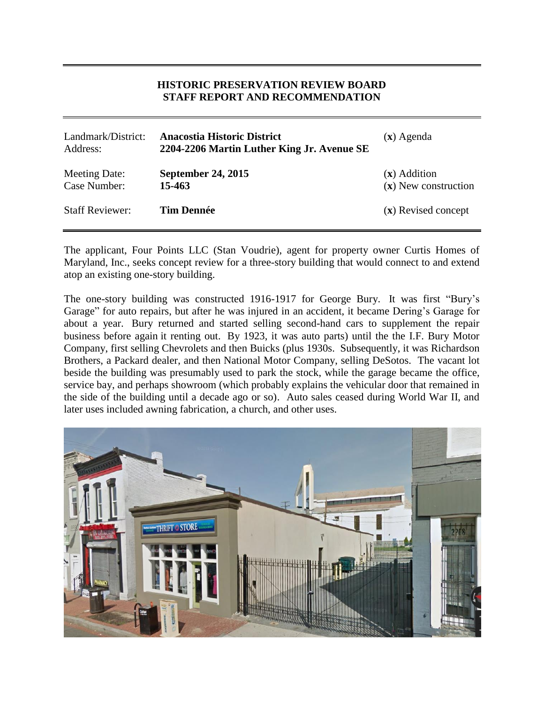# **HISTORIC PRESERVATION REVIEW BOARD STAFF REPORT AND RECOMMENDATION**

| Landmark/District:<br>Address: | <b>Anacostia Historic District</b><br>2204-2206 Martin Luther King Jr. Avenue SE | $(x)$ Agenda                             |
|--------------------------------|----------------------------------------------------------------------------------|------------------------------------------|
| Meeting Date:<br>Case Number:  | <b>September 24, 2015</b><br>15-463                                              | $(x)$ Addition<br>$(x)$ New construction |
| <b>Staff Reviewer:</b>         | <b>Tim Dennée</b>                                                                | (x) Revised concept                      |

The applicant, Four Points LLC (Stan Voudrie), agent for property owner Curtis Homes of Maryland, Inc., seeks concept review for a three-story building that would connect to and extend atop an existing one-story building.

The one-story building was constructed 1916-1917 for George Bury. It was first "Bury's Garage" for auto repairs, but after he was injured in an accident, it became Dering's Garage for about a year. Bury returned and started selling second-hand cars to supplement the repair business before again it renting out. By 1923, it was auto parts) until the the I.F. Bury Motor Company, first selling Chevrolets and then Buicks (plus 1930s. Subsequently, it was Richardson Brothers, a Packard dealer, and then National Motor Company, selling DeSotos. The vacant lot beside the building was presumably used to park the stock, while the garage became the office, service bay, and perhaps showroom (which probably explains the vehicular door that remained in the side of the building until a decade ago or so). Auto sales ceased during World War II, and later uses included awning fabrication, a church, and other uses.